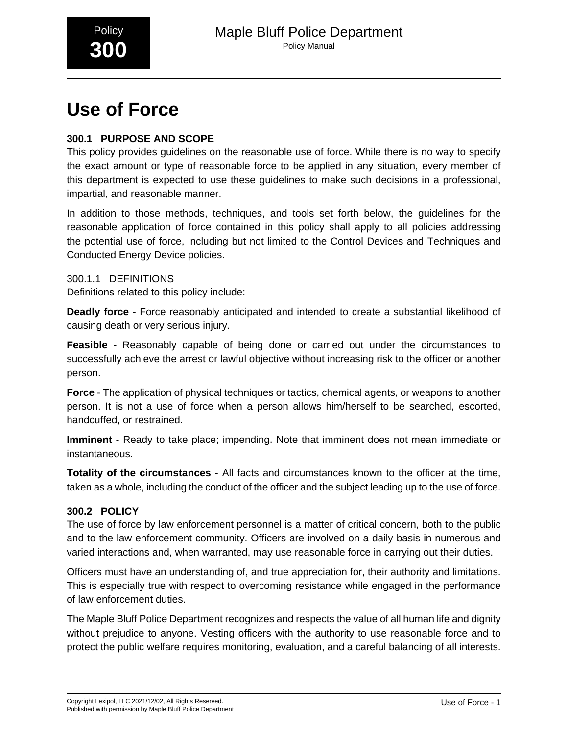

# **Use of Force**

# **300.1 PURPOSE AND SCOPE**

This policy provides guidelines on the reasonable use of force. While there is no way to specify the exact amount or type of reasonable force to be applied in any situation, every member of this department is expected to use these guidelines to make such decisions in a professional, impartial, and reasonable manner.

In addition to those methods, techniques, and tools set forth below, the guidelines for the reasonable application of force contained in this policy shall apply to all policies addressing the potential use of force, including but not limited to the Control Devices and Techniques and Conducted Energy Device policies.

300.1.1 DEFINITIONS Definitions related to this policy include:

**Deadly force** - Force reasonably anticipated and intended to create a substantial likelihood of causing death or very serious injury.

**Feasible** - Reasonably capable of being done or carried out under the circumstances to successfully achieve the arrest or lawful objective without increasing risk to the officer or another person.

**Force** - The application of physical techniques or tactics, chemical agents, or weapons to another person. It is not a use of force when a person allows him/herself to be searched, escorted, handcuffed, or restrained.

**Imminent** - Ready to take place; impending. Note that imminent does not mean immediate or instantaneous.

**Totality of the circumstances** - All facts and circumstances known to the officer at the time, taken as a whole, including the conduct of the officer and the subject leading up to the use of force.

# **300.2 POLICY**

The use of force by law enforcement personnel is a matter of critical concern, both to the public and to the law enforcement community. Officers are involved on a daily basis in numerous and varied interactions and, when warranted, may use reasonable force in carrying out their duties.

Officers must have an understanding of, and true appreciation for, their authority and limitations. This is especially true with respect to overcoming resistance while engaged in the performance of law enforcement duties.

The Maple Bluff Police Department recognizes and respects the value of all human life and dignity without prejudice to anyone. Vesting officers with the authority to use reasonable force and to protect the public welfare requires monitoring, evaluation, and a careful balancing of all interests.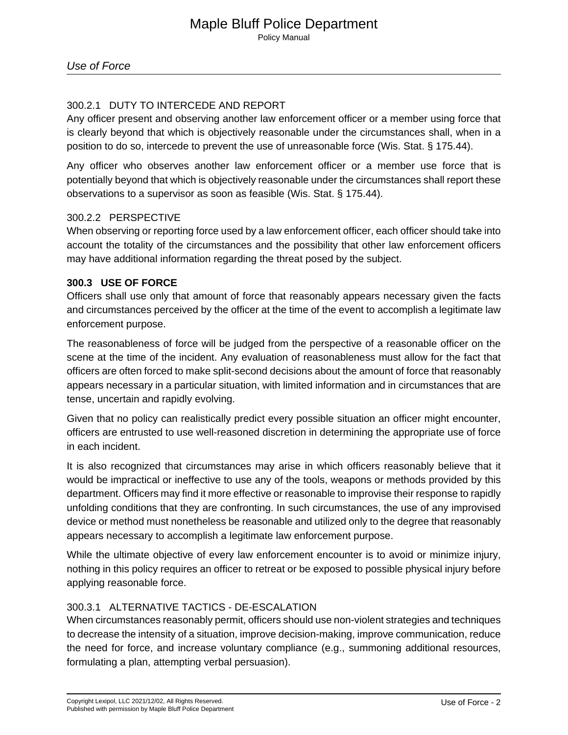## 300.2.1 DUTY TO INTERCEDE AND REPORT

Any officer present and observing another law enforcement officer or a member using force that is clearly beyond that which is objectively reasonable under the circumstances shall, when in a position to do so, intercede to prevent the use of unreasonable force (Wis. Stat. § 175.44).

Any officer who observes another law enforcement officer or a member use force that is potentially beyond that which is objectively reasonable under the circumstances shall report these observations to a supervisor as soon as feasible (Wis. Stat. § 175.44).

## 300.2.2 PERSPECTIVE

When observing or reporting force used by a law enforcement officer, each officer should take into account the totality of the circumstances and the possibility that other law enforcement officers may have additional information regarding the threat posed by the subject.

## **300.3 USE OF FORCE**

Officers shall use only that amount of force that reasonably appears necessary given the facts and circumstances perceived by the officer at the time of the event to accomplish a legitimate law enforcement purpose.

The reasonableness of force will be judged from the perspective of a reasonable officer on the scene at the time of the incident. Any evaluation of reasonableness must allow for the fact that officers are often forced to make split-second decisions about the amount of force that reasonably appears necessary in a particular situation, with limited information and in circumstances that are tense, uncertain and rapidly evolving.

Given that no policy can realistically predict every possible situation an officer might encounter, officers are entrusted to use well-reasoned discretion in determining the appropriate use of force in each incident.

It is also recognized that circumstances may arise in which officers reasonably believe that it would be impractical or ineffective to use any of the tools, weapons or methods provided by this department. Officers may find it more effective or reasonable to improvise their response to rapidly unfolding conditions that they are confronting. In such circumstances, the use of any improvised device or method must nonetheless be reasonable and utilized only to the degree that reasonably appears necessary to accomplish a legitimate law enforcement purpose.

While the ultimate objective of every law enforcement encounter is to avoid or minimize injury, nothing in this policy requires an officer to retreat or be exposed to possible physical injury before applying reasonable force.

## 300.3.1 ALTERNATIVE TACTICS - DE-ESCALATION

When circumstances reasonably permit, officers should use non-violent strategies and techniques to decrease the intensity of a situation, improve decision-making, improve communication, reduce the need for force, and increase voluntary compliance (e.g., summoning additional resources, formulating a plan, attempting verbal persuasion).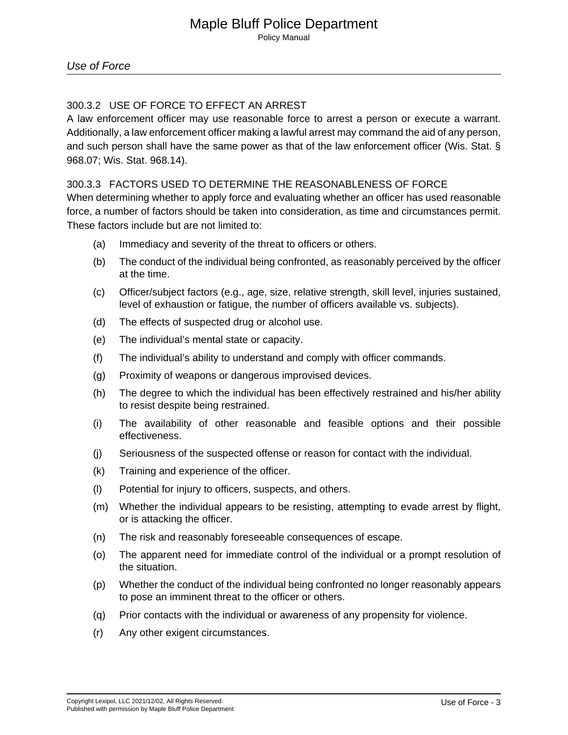# 300.3.2 USE OF FORCE TO EFFECT AN ARREST

A law enforcement officer may use reasonable force to arrest a person or execute a warrant. Additionally, a law enforcement officer making a lawful arrest may command the aid of any person, and such person shall have the same power as that of the law enforcement officer (Wis. Stat. § 968.07; Wis. Stat. 968.14).\_

## 300.3.3 FACTORS USED TO DETERMINE THE REASONABLENESS OF FORCE

When determining whether to apply force and evaluating whether an officer has used reasonable force, a number of factors should be taken into consideration, as time and circumstances permit. These factors include but are not limited to:

- (a) Immediacy and severity of the threat to officers or others.
- (b) The conduct of the individual being confronted, as reasonably perceived by the officer at the time.
- (c) Officer/subject factors (e.g., age, size, relative strength, skill level, injuries sustained, level of exhaustion or fatigue, the number of officers available vs. subjects).
- (d) The effects of suspected drug or alcohol use.
- (e) The individual's mental state or capacity.
- (f) The individual's ability to understand and comply with officer commands.
- (g) Proximity of weapons or dangerous improvised devices.
- (h) The degree to which the individual has been effectively restrained and his/her ability to resist despite being restrained.
- (i) The availability of other reasonable and feasible options and their possible effectiveness.
- (j) Seriousness of the suspected offense or reason for contact with the individual.
- (k) Training and experience of the officer.
- (l) Potential for injury to officers, suspects, and others.
- (m) Whether the individual appears to be resisting, attempting to evade arrest by flight, or is attacking the officer.
- (n) The risk and reasonably foreseeable consequences of escape.
- (o) The apparent need for immediate control of the individual or a prompt resolution of the situation.
- (p) Whether the conduct of the individual being confronted no longer reasonably appears to pose an imminent threat to the officer or others.
- (q) Prior contacts with the individual or awareness of any propensity for violence.
- (r) Any other exigent circumstances.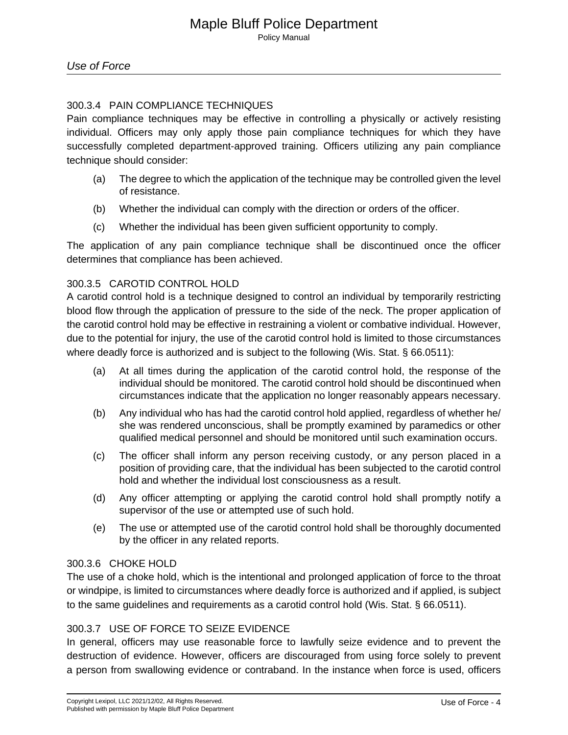# 300.3.4 PAIN COMPLIANCE TECHNIQUES

Pain compliance techniques may be effective in controlling a physically or actively resisting individual. Officers may only apply those pain compliance techniques for which they have successfully completed department-approved training. Officers utilizing any pain compliance technique should consider:

- (a) The degree to which the application of the technique may be controlled given the level of resistance.
- (b) Whether the individual can comply with the direction or orders of the officer.
- (c) Whether the individual has been given sufficient opportunity to comply.

The application of any pain compliance technique shall be discontinued once the officer determines that compliance has been achieved.

## 300.3.5 CAROTID CONTROL HOLD

A carotid control hold is a technique designed to control an individual by temporarily restricting blood flow through the application of pressure to the side of the neck. The proper application of the carotid control hold may be effective in restraining a violent or combative individual. However, due to the potential for injury, the use of the carotid control hold is limited to those circumstances where deadly force is authorized and is subject to the following (Wis. Stat. § 66.0511):

- (a) At all times during the application of the carotid control hold, the response of the individual should be monitored. The carotid control hold should be discontinued when circumstances indicate that the application no longer reasonably appears necessary.
- (b) Any individual who has had the carotid control hold applied, regardless of whether he/ she was rendered unconscious, shall be promptly examined by paramedics or other qualified medical personnel and should be monitored until such examination occurs.
- (c) The officer shall inform any person receiving custody, or any person placed in a position of providing care, that the individual has been subjected to the carotid control hold and whether the individual lost consciousness as a result.
- (d) Any officer attempting or applying the carotid control hold shall promptly notify a supervisor of the use or attempted use of such hold.
- (e) The use or attempted use of the carotid control hold shall be thoroughly documented by the officer in any related reports.

## 300.3.6 CHOKE HOLD

The use of a choke hold, which is the intentional and prolonged application of force to the throat or windpipe, is limited to circumstances where deadly force is authorized and if applied, is subject to the same guidelines and requirements as a carotid control hold (Wis. Stat. § 66.0511).

# 300.3.7 USE OF FORCE TO SEIZE EVIDENCE

In general, officers may use reasonable force to lawfully seize evidence and to prevent the destruction of evidence. However, officers are discouraged from using force solely to prevent a person from swallowing evidence or contraband. In the instance when force is used, officers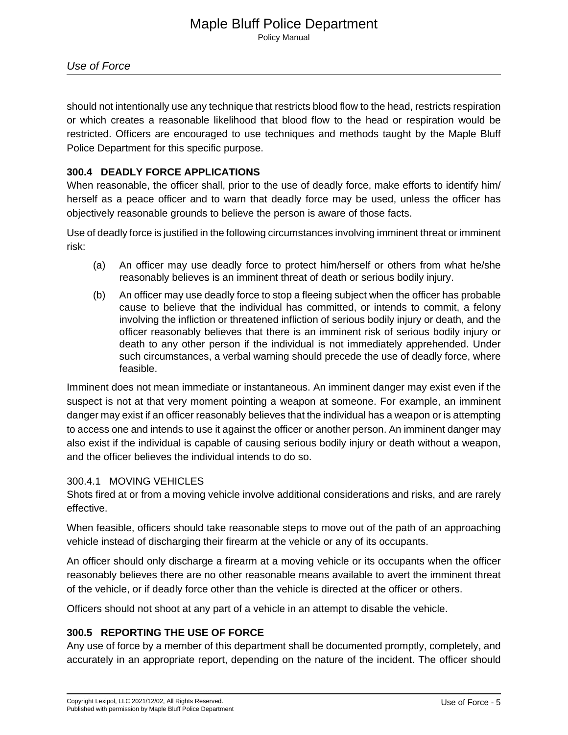Policy Manual

should not intentionally use any technique that restricts blood flow to the head, restricts respiration or which creates a reasonable likelihood that blood flow to the head or respiration would be restricted. Officers are encouraged to use techniques and methods taught by the Maple Bluff Police Department for this specific purpose.

## **300.4 DEADLY FORCE APPLICATIONS**

When reasonable, the officer shall, prior to the use of deadly force, make efforts to identify him/ herself as a peace officer and to warn that deadly force may be used, unless the officer has objectively reasonable grounds to believe the person is aware of those facts.

Use of deadly force is justified in the following circumstances involving imminent threat or imminent risk:

- (a) An officer may use deadly force to protect him/herself or others from what he/she reasonably believes is an imminent threat of death or serious bodily injury.
- (b) An officer may use deadly force to stop a fleeing subject when the officer has probable cause to believe that the individual has committed, or intends to commit, a felony involving the infliction or threatened infliction of serious bodily injury or death, and the officer reasonably believes that there is an imminent risk of serious bodily injury or death to any other person if the individual is not immediately apprehended. Under such circumstances, a verbal warning should precede the use of deadly force, where feasible.

Imminent does not mean immediate or instantaneous. An imminent danger may exist even if the suspect is not at that very moment pointing a weapon at someone. For example, an imminent danger may exist if an officer reasonably believes that the individual has a weapon or is attempting to access one and intends to use it against the officer or another person. An imminent danger may also exist if the individual is capable of causing serious bodily injury or death without a weapon, and the officer believes the individual intends to do so.

## 300.4.1 MOVING VEHICLES

Shots fired at or from a moving vehicle involve additional considerations and risks, and are rarely effective.

When feasible, officers should take reasonable steps to move out of the path of an approaching vehicle instead of discharging their firearm at the vehicle or any of its occupants.

An officer should only discharge a firearm at a moving vehicle or its occupants when the officer reasonably believes there are no other reasonable means available to avert the imminent threat of the vehicle, or if deadly force other than the vehicle is directed at the officer or others.

Officers should not shoot at any part of a vehicle in an attempt to disable the vehicle.

# **300.5 REPORTING THE USE OF FORCE**

Any use of force by a member of this department shall be documented promptly, completely, and accurately in an appropriate report, depending on the nature of the incident. The officer should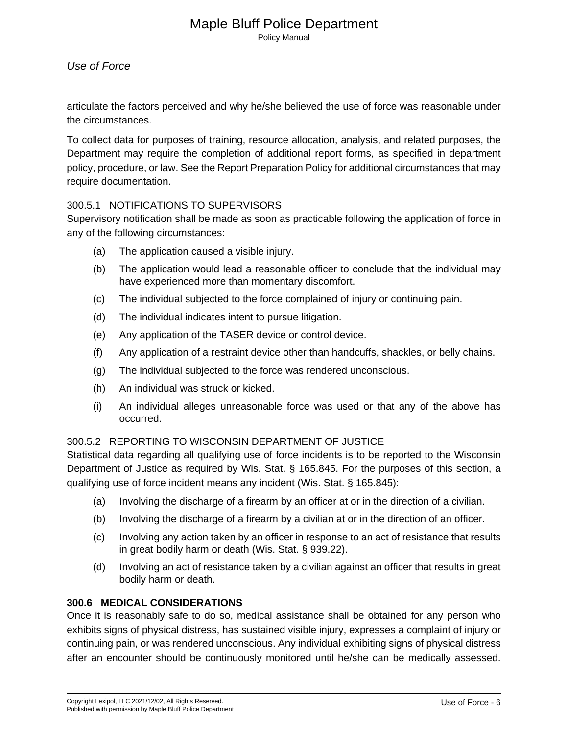Policy Manual

# Use of Force

articulate the factors perceived and why he/she believed the use of force was reasonable under the circumstances.

To collect data for purposes of training, resource allocation, analysis, and related purposes, the Department may require the completion of additional report forms, as specified in department policy, procedure, or law. See the Report Preparation Policy for additional circumstances that may require documentation.

## 300.5.1 NOTIFICATIONS TO SUPERVISORS

Supervisory notification shall be made as soon as practicable following the application of force in any of the following circumstances:

- (a) The application caused a visible injury.
- (b) The application would lead a reasonable officer to conclude that the individual may have experienced more than momentary discomfort.
- (c) The individual subjected to the force complained of injury or continuing pain.
- (d) The individual indicates intent to pursue litigation.
- (e) Any application of the TASER device or control device.
- (f) Any application of a restraint device other than handcuffs, shackles, or belly chains.
- (g) The individual subjected to the force was rendered unconscious.
- (h) An individual was struck or kicked.
- (i) An individual alleges unreasonable force was used or that any of the above has occurred.

#### 300.5.2 REPORTING TO WISCONSIN DEPARTMENT OF JUSTICE

Statistical data regarding all qualifying use of force incidents is to be reported to the Wisconsin Department of Justice as required by Wis. Stat. § 165.845. For the purposes of this section, a qualifying use of force incident means any incident (Wis. Stat. § 165.845):

- (a) Involving the discharge of a firearm by an officer at or in the direction of a civilian.
- (b) Involving the discharge of a firearm by a civilian at or in the direction of an officer.
- (c) Involving any action taken by an officer in response to an act of resistance that results in great bodily harm or death (Wis. Stat. § 939.22).
- (d) Involving an act of resistance taken by a civilian against an officer that results in great bodily harm or death.

#### **300.6 MEDICAL CONSIDERATIONS**

Once it is reasonably safe to do so, medical assistance shall be obtained for any person who exhibits signs of physical distress, has sustained visible injury, expresses a complaint of injury or continuing pain, or was rendered unconscious. Any individual exhibiting signs of physical distress after an encounter should be continuously monitored until he/she can be medically assessed.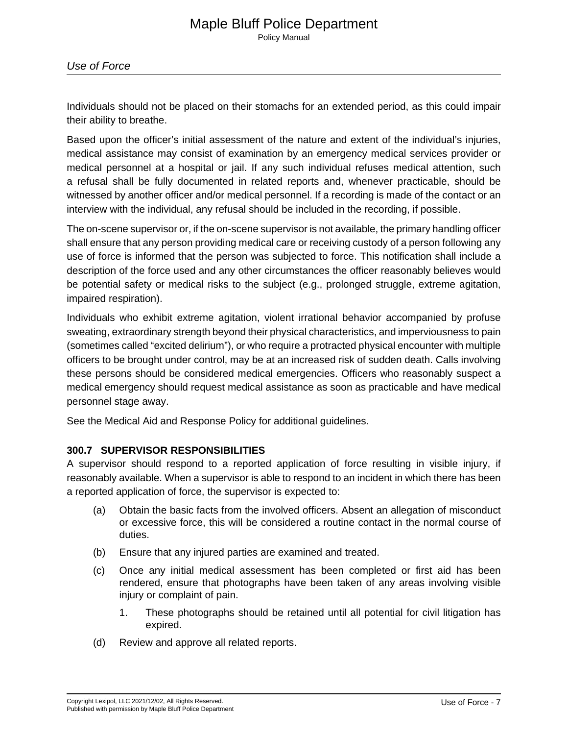Individuals should not be placed on their stomachs for an extended period, as this could impair their ability to breathe.

Based upon the officer's initial assessment of the nature and extent of the individual's injuries, medical assistance may consist of examination by an emergency medical services provider or medical personnel at a hospital or jail. If any such individual refuses medical attention, such a refusal shall be fully documented in related reports and, whenever practicable, should be witnessed by another officer and/or medical personnel. If a recording is made of the contact or an interview with the individual, any refusal should be included in the recording, if possible.

The on-scene supervisor or, if the on-scene supervisor is not available, the primary handling officer shall ensure that any person providing medical care or receiving custody of a person following any use of force is informed that the person was subjected to force. This notification shall include a description of the force used and any other circumstances the officer reasonably believes would be potential safety or medical risks to the subject (e.g., prolonged struggle, extreme agitation, impaired respiration).

Individuals who exhibit extreme agitation, violent irrational behavior accompanied by profuse sweating, extraordinary strength beyond their physical characteristics, and imperviousness to pain (sometimes called "excited delirium"), or who require a protracted physical encounter with multiple officers to be brought under control, may be at an increased risk of sudden death. Calls involving these persons should be considered medical emergencies. Officers who reasonably suspect a medical emergency should request medical assistance as soon as practicable and have medical personnel stage away.

See the Medical Aid and Response Policy for additional guidelines.

## **300.7 SUPERVISOR RESPONSIBILITIES**

A supervisor should respond to a reported application of force resulting in visible injury, if reasonably available. When a supervisor is able to respond to an incident in which there has been a reported application of force, the supervisor is expected to:

- (a) Obtain the basic facts from the involved officers. Absent an allegation of misconduct or excessive force, this will be considered a routine contact in the normal course of duties.
- (b) Ensure that any injured parties are examined and treated.
- (c) Once any initial medical assessment has been completed or first aid has been rendered, ensure that photographs have been taken of any areas involving visible injury or complaint of pain.
	- 1. These photographs should be retained until all potential for civil litigation has expired.
- (d) Review and approve all related reports.